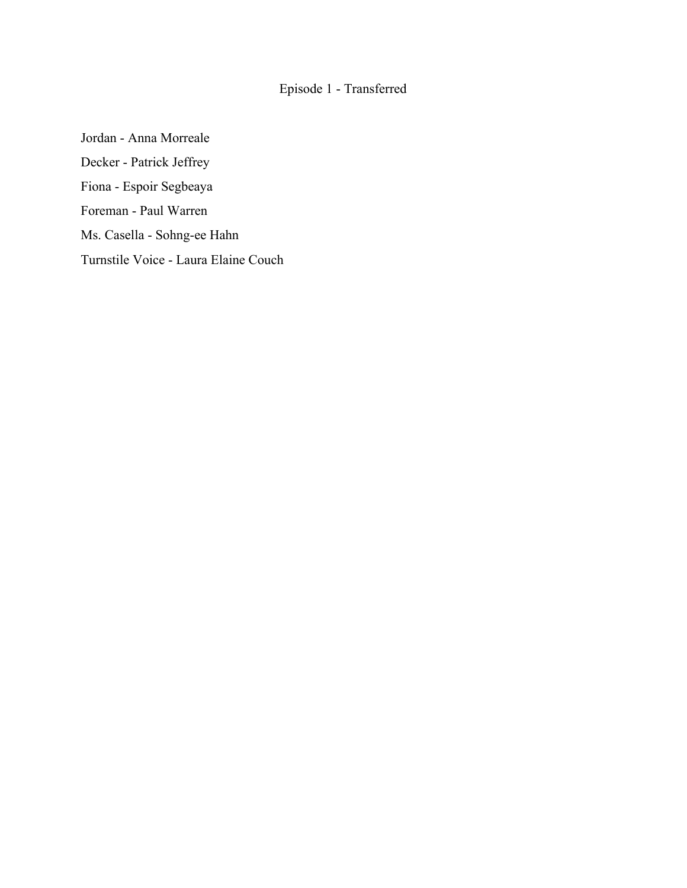## Episode 1 - Transferred

Jordan - Anna Morreale Decker - Patrick Jeffrey Fiona - Espoir Segbeaya Foreman - Paul Warren Ms. Casella - Sohng-ee Hahn Turnstile Voice - Laura Elaine Couch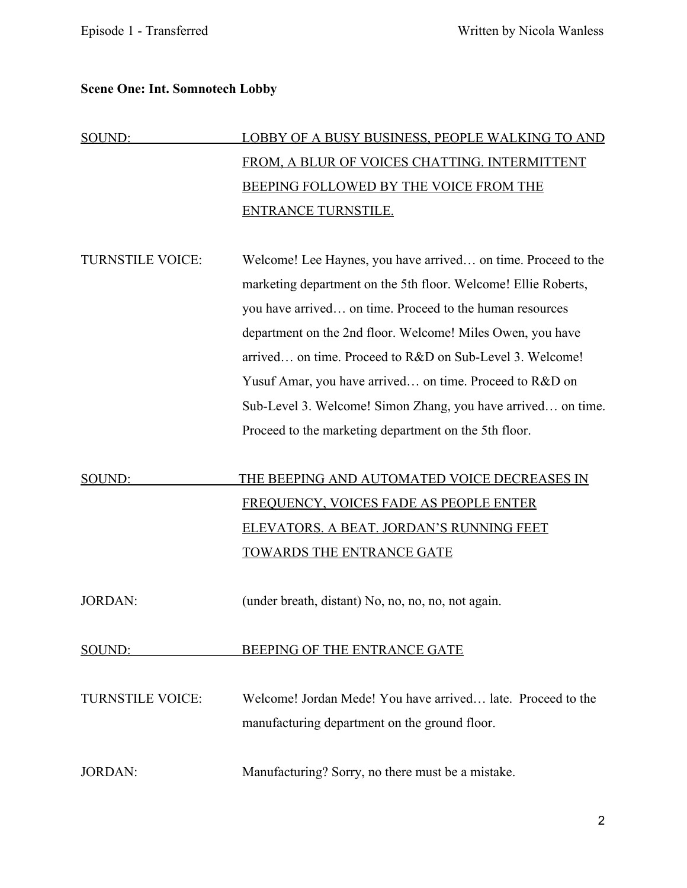#### **Scene One: Int. Somnotech Lobby**

# SOUND: LOBBY OF A BUSY BUSINESS, PEOPLE WALKING TO AND FROM, A BLUR OF VOICES CHATTING. INTERMITTENT BEEPING FOLLOWED BY THE VOICE FROM THE ENTRANCE TURNSTILE.

TURNSTILE VOICE: Welcome! Lee Haynes, you have arrived… on time. Proceed to the marketing department on the 5th floor. Welcome! Ellie Roberts, you have arrived… on time. Proceed to the human resources department on the 2nd floor. Welcome! Miles Owen, you have arrived… on time. Proceed to R&D on Sub-Level 3. Welcome! Yusuf Amar, you have arrived… on time. Proceed to R&D on Sub-Level 3. Welcome! Simon Zhang, you have arrived… on time. Proceed to the marketing department on the 5th floor.

# SOUND: THE BEEPING AND AUTOMATED VOICE DECREASES IN FREQUENCY, VOICES FADE AS PEOPLE ENTER ELEVATORS. A BEAT. JORDAN'S RUNNING FEET TOWARDS THE ENTRANCE GATE

JORDAN: (under breath, distant) No, no, no, no, not again.

#### SOUND: BEEPING OF THE ENTRANCE GATE

TURNSTILE VOICE: Welcome! Jordan Mede! You have arrived… late. Proceed to the manufacturing department on the ground floor.

JORDAN: Manufacturing? Sorry, no there must be a mistake.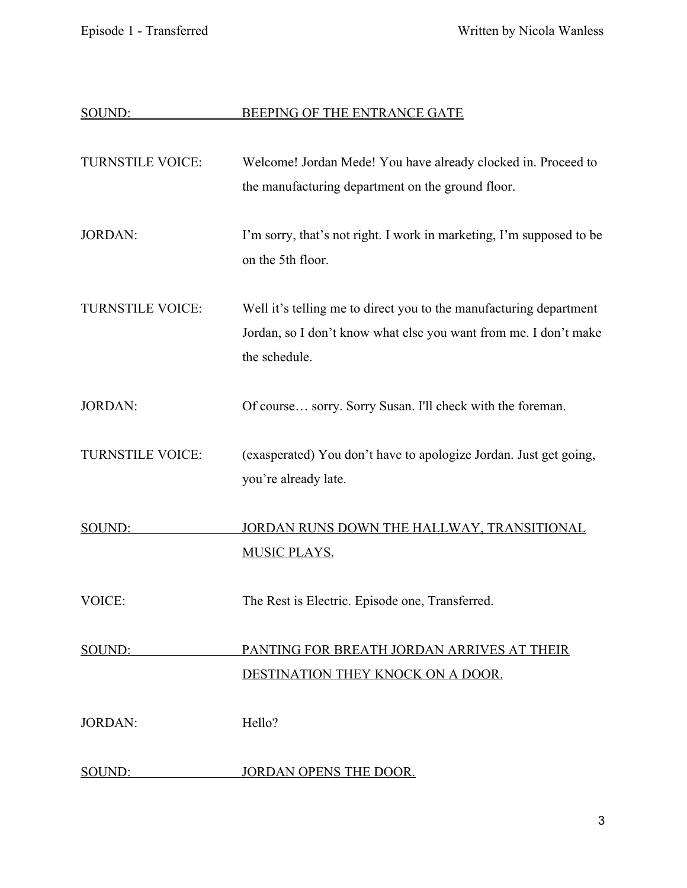| SOUND:                  | BEEPING OF THE ENTRANCE GATE                                                                                                                            |
|-------------------------|---------------------------------------------------------------------------------------------------------------------------------------------------------|
| <b>TURNSTILE VOICE:</b> | Welcome! Jordan Mede! You have already clocked in. Proceed to<br>the manufacturing department on the ground floor.                                      |
| <b>JORDAN:</b>          | I'm sorry, that's not right. I work in marketing, I'm supposed to be<br>on the 5th floor.                                                               |
| <b>TURNSTILE VOICE:</b> | Well it's telling me to direct you to the manufacturing department<br>Jordan, so I don't know what else you want from me. I don't make<br>the schedule. |
| <b>JORDAN:</b>          | Of course sorry. Sorry Susan. I'll check with the foreman.                                                                                              |
| <b>TURNSTILE VOICE:</b> | (exasperated) You don't have to apologize Jordan. Just get going,<br>you're already late.                                                               |
| SOUND:                  | JORDAN RUNS DOWN THE HALLWAY, TRANSITIONAL<br><b>MUSIC PLAYS.</b>                                                                                       |
| VOICE:                  | The Rest is Electric. Episode one, Transferred                                                                                                          |
| SOUND:                  | PANTING FOR BREATH JORDAN ARRIVES AT THEIR<br>DESTINATION THEY KNOCK ON A DOOR.                                                                         |
| <b>JORDAN:</b>          | Hello?                                                                                                                                                  |
| SOUND:                  | <b>JORDAN OPENS THE DOOR.</b>                                                                                                                           |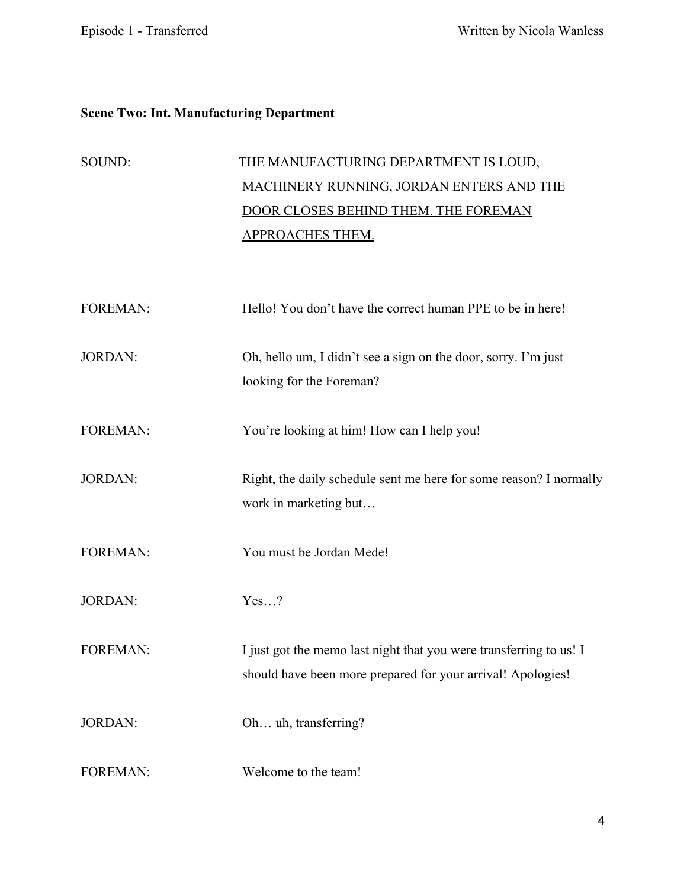### **Scene Two: Int. Manufacturing Department**

| SOUND:  | <u>THE MANUFACTURING DEPARTMENT IS LOUD,</u>               |
|---------|------------------------------------------------------------|
|         | <b>MACHINERY RUNNING, JORDAN ENTERS AND THE</b>            |
|         | DOOR CLOSES BEHIND THEM. THE FOREMAN                       |
|         | APPROACHES THEM.                                           |
|         |                                                            |
|         |                                                            |
| FOREMAN | Hello! You don't have the correct human PPE to be in here! |
|         |                                                            |

- JORDAN: Oh, hello um, I didn't see a sign on the door, sorry. I'm just looking for the Foreman?
- FOREMAN: You're looking at him! How can I help you!
- JORDAN: Right, the daily schedule sent me here for some reason? I normally work in marketing but…
- FOREMAN: You must be Jordan Mede!
- JORDAN: Yes…?

FOREMAN: I just got the memo last night that you were transferring to us! I should have been more prepared for your arrival! Apologies!

JORDAN: Oh... uh, transferring?

FOREMAN: Welcome to the team!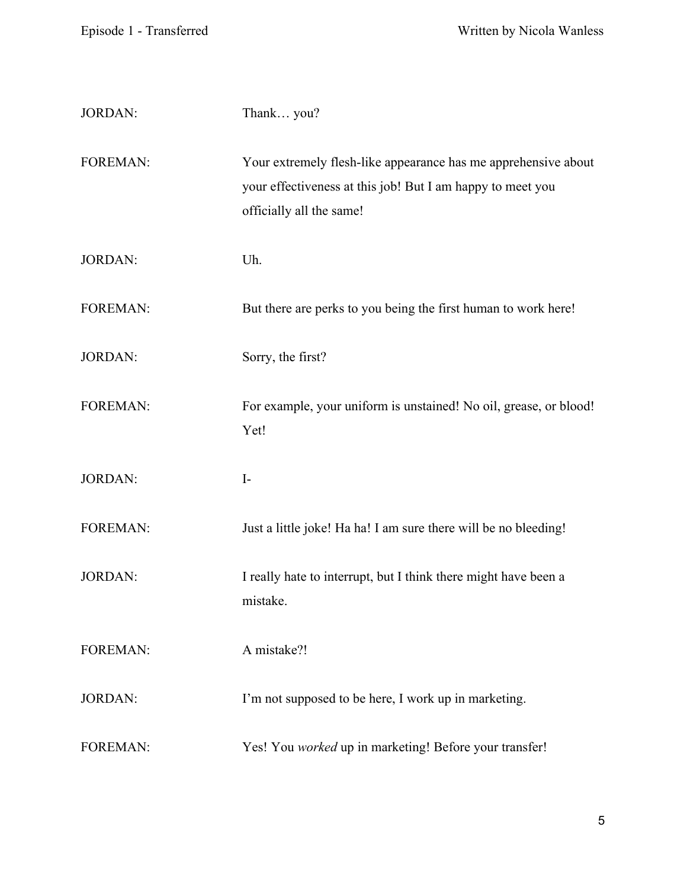| <b>JORDAN:</b>  | Thank you?                                                                                                                                               |
|-----------------|----------------------------------------------------------------------------------------------------------------------------------------------------------|
| <b>FOREMAN:</b> | Your extremely flesh-like appearance has me apprehensive about<br>your effectiveness at this job! But I am happy to meet you<br>officially all the same! |
| <b>JORDAN:</b>  | Uh.                                                                                                                                                      |
| <b>FOREMAN:</b> | But there are perks to you being the first human to work here!                                                                                           |
| <b>JORDAN:</b>  | Sorry, the first?                                                                                                                                        |
| <b>FOREMAN:</b> | For example, your uniform is unstained! No oil, grease, or blood!<br>Yet!                                                                                |
| <b>JORDAN:</b>  | $I-$                                                                                                                                                     |
| <b>FOREMAN:</b> | Just a little joke! Ha ha! I am sure there will be no bleeding!                                                                                          |
| <b>JORDAN:</b>  | I really hate to interrupt, but I think there might have been a<br>mistake.                                                                              |
| <b>FOREMAN:</b> | A mistake?!                                                                                                                                              |
| <b>JORDAN:</b>  | I'm not supposed to be here, I work up in marketing.                                                                                                     |
| <b>FOREMAN:</b> | Yes! You worked up in marketing! Before your transfer!                                                                                                   |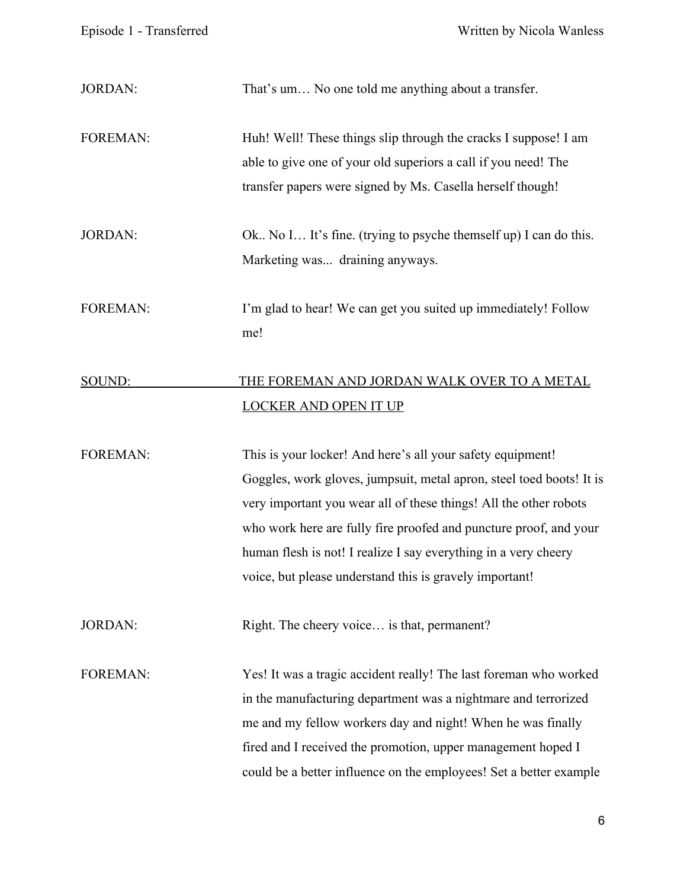| <b>JORDAN:</b>  | That's um No one told me anything about a transfer.                  |
|-----------------|----------------------------------------------------------------------|
| <b>FOREMAN:</b> | Huh! Well! These things slip through the cracks I suppose! I am      |
|                 | able to give one of your old superiors a call if you need! The       |
|                 | transfer papers were signed by Ms. Casella herself though!           |
| <b>JORDAN:</b>  | Ok No I It's fine. (trying to psyche themself up) I can do this.     |
|                 | Marketing was draining anyways.                                      |
| <b>FOREMAN:</b> | I'm glad to hear! We can get you suited up immediately! Follow       |
|                 | me!                                                                  |
| SOUND:          | THE FOREMAN AND JORDAN WALK OVER TO A METAL                          |
|                 | <b>LOCKER AND OPEN IT UP</b>                                         |
| <b>FOREMAN:</b> | This is your locker! And here's all your safety equipment!           |
|                 | Goggles, work gloves, jumpsuit, metal apron, steel toed boots! It is |
|                 | very important you wear all of these things! All the other robots    |
|                 | who work here are fully fire proofed and puncture proof, and your    |
|                 | human flesh is not! I realize I say everything in a very cheery      |
|                 | voice, but please understand this is gravely important!              |
| <b>JORDAN:</b>  | Right. The cheery voice is that, permanent?                          |
| <b>FOREMAN:</b> | Yes! It was a tragic accident really! The last foreman who worked    |
|                 | in the manufacturing department was a nightmare and terrorized       |
|                 | me and my fellow workers day and night! When he was finally          |
|                 | fired and I received the promotion, upper management hoped I         |
|                 | could be a better influence on the employees! Set a better example   |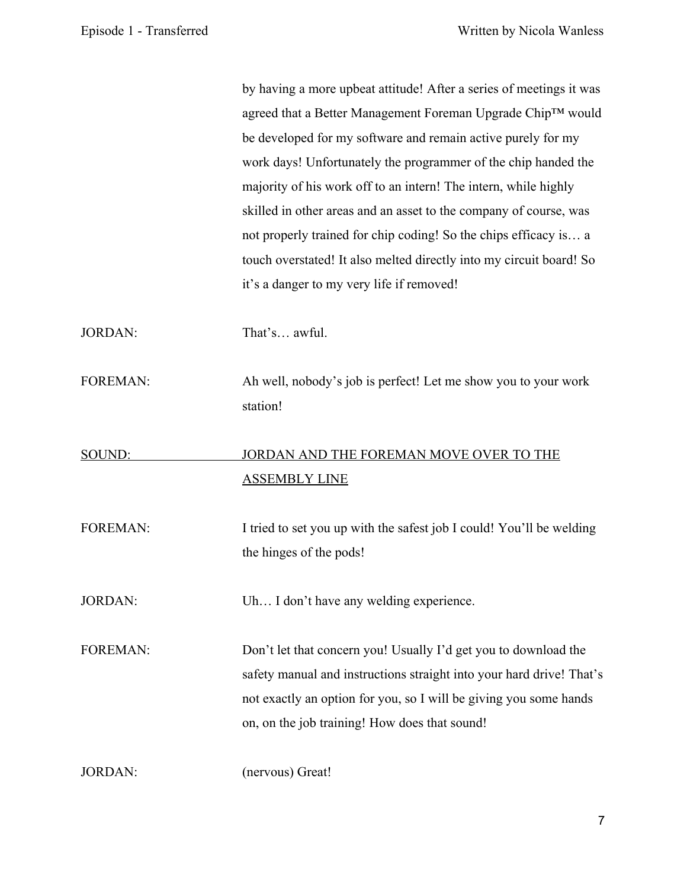by having a more upbeat attitude! After a series of meetings it was agreed that a Better Management Foreman Upgrade Chip™ would be developed for my software and remain active purely for my work days! Unfortunately the programmer of the chip handed the majority of his work off to an intern! The intern, while highly skilled in other areas and an asset to the company of course, was not properly trained for chip coding! So the chips efficacy is… a touch overstated! It also melted directly into my circuit board! So it's a danger to my very life if removed! JORDAN: That's… awful. FOREMAN: Ah well, nobody's job is perfect! Let me show you to your work station! SOUND: JORDAN AND THE FOREMAN MOVE OVER TO THE ASSEMBLY LINE FOREMAN: I tried to set you up with the safest job I could! You'll be welding the hinges of the pods! JORDAN: Uh… I don't have any welding experience. FOREMAN: Don't let that concern you! Usually I'd get you to download the safety manual and instructions straight into your hard drive! That's not exactly an option for you, so I will be giving you some hands on, on the job training! How does that sound!

JORDAN: (nervous) Great!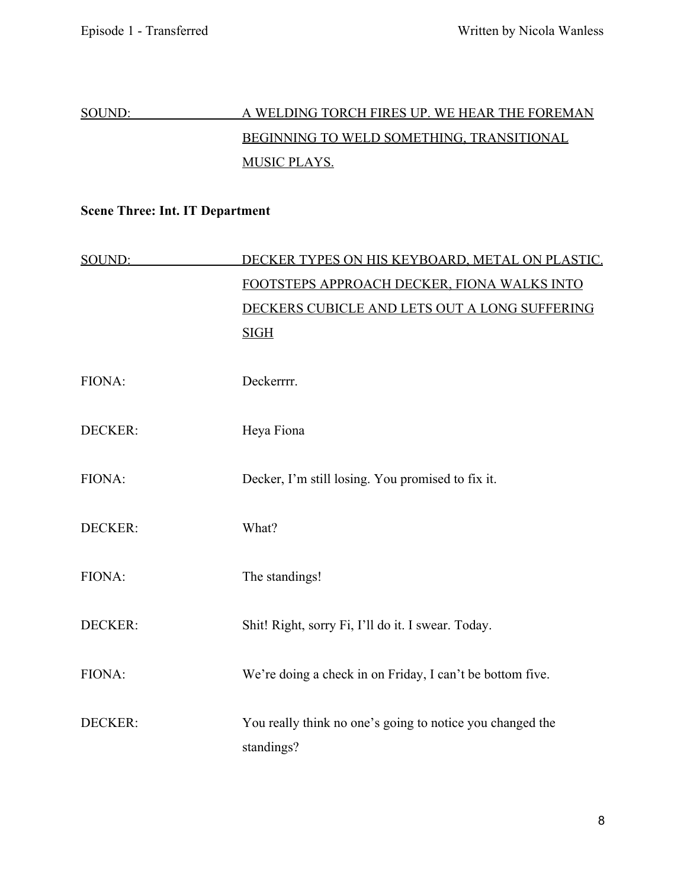# SOUND: A WELDING TORCH FIRES UP. WE HEAR THE FOREMAN BEGINNING TO WELD SOMETHING, TRANSITIONAL MUSIC PLAYS.

## **Scene Three: Int. IT Department**

| SOUND:  | DECKER TYPES ON HIS KEYBOARD, METAL ON PLASTIC.                         |
|---------|-------------------------------------------------------------------------|
|         | FOOTSTEPS APPROACH DECKER, FIONA WALKS INTO                             |
|         | DECKERS CUBICLE AND LETS OUT A LONG SUFFERING                           |
|         | <b>SIGH</b>                                                             |
| FIONA:  | Deckerrrr.                                                              |
| DECKER: | Heya Fiona                                                              |
| FIONA:  | Decker, I'm still losing. You promised to fix it.                       |
| DECKER: | What?                                                                   |
| FIONA:  | The standings!                                                          |
| DECKER: | Shit! Right, sorry Fi, I'll do it. I swear. Today.                      |
| FIONA:  | We're doing a check in on Friday, I can't be bottom five.               |
| DECKER: | You really think no one's going to notice you changed the<br>standings? |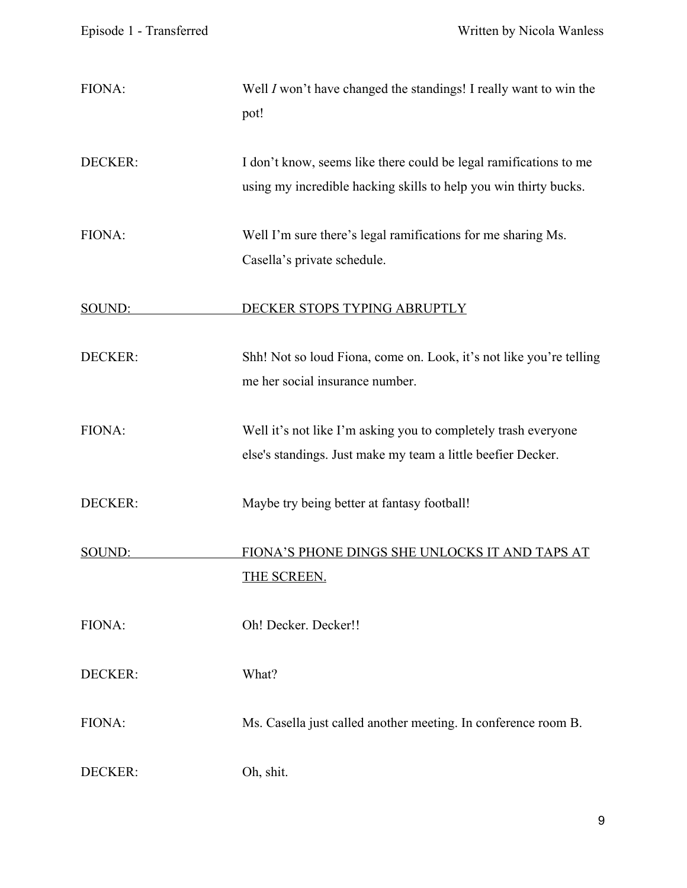| FIONA:         | Well I won't have changed the standings! I really want to win the<br>pot!                                                             |
|----------------|---------------------------------------------------------------------------------------------------------------------------------------|
| DECKER:        | I don't know, seems like there could be legal ramifications to me<br>using my incredible hacking skills to help you win thirty bucks. |
| FIONA:         | Well I'm sure there's legal ramifications for me sharing Ms.<br>Casella's private schedule.                                           |
| SOUND:         | DECKER STOPS TYPING ABRUPTLY                                                                                                          |
| DECKER:        | Shh! Not so loud Fiona, come on. Look, it's not like you're telling<br>me her social insurance number.                                |
| FIONA:         | Well it's not like I'm asking you to completely trash everyone<br>else's standings. Just make my team a little beefier Decker.        |
| DECKER:        | Maybe try being better at fantasy football!                                                                                           |
| SOUND:         | FIONA'S PHONE DINGS SHE UNLOCKS IT AND TAPS AT<br><b>THE SCREEN.</b>                                                                  |
| FIONA:         | Oh! Decker. Decker!!                                                                                                                  |
| <b>DECKER:</b> | What?                                                                                                                                 |
| FIONA:         | Ms. Casella just called another meeting. In conference room B.                                                                        |
| DECKER:        | Oh, shit.                                                                                                                             |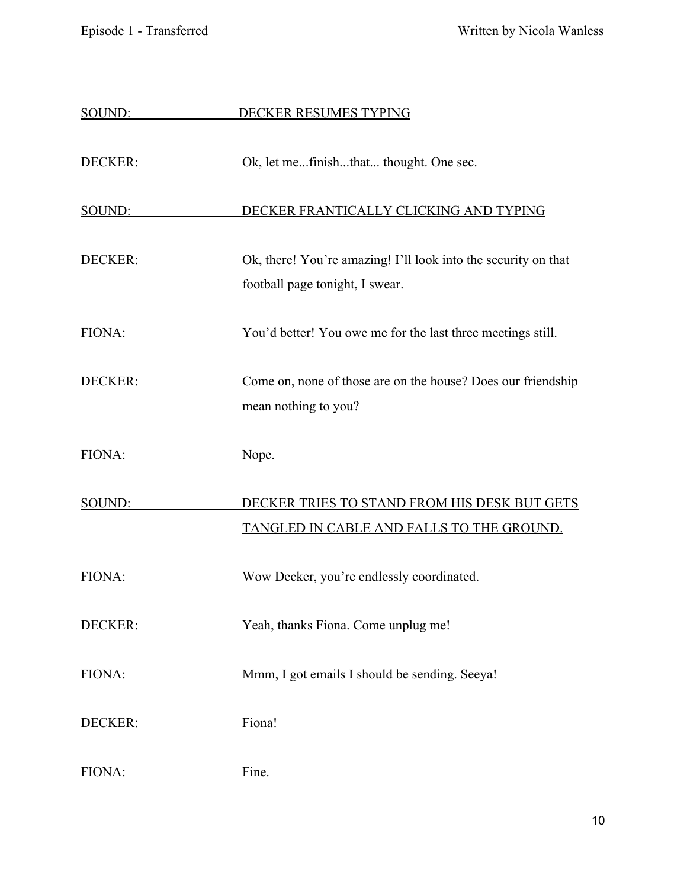| SOUND:         | DECKER RESUMES TYPING                                                                             |
|----------------|---------------------------------------------------------------------------------------------------|
| DECKER:        | Ok, let mefinishthat thought. One sec.                                                            |
| SOUND:         | DECKER FRANTICALLY CLICKING AND TYPING                                                            |
| DECKER:        | Ok, there! You're amazing! I'll look into the security on that<br>football page tonight, I swear. |
| FIONA:         | You'd better! You owe me for the last three meetings still.                                       |
| <b>DECKER:</b> | Come on, none of those are on the house? Does our friendship<br>mean nothing to you?              |
| FIONA:         | Nope.                                                                                             |
| SOUND:         | DECKER TRIES TO STAND FROM HIS DESK BUT GETS<br>TANGLED IN CABLE AND FALLS TO THE GROUND.         |
| FIONA:         | Wow Decker, you're endlessly coordinated.                                                         |
| DECKER:        | Yeah, thanks Fiona. Come unplug me!                                                               |
| FIONA:         | Mmm, I got emails I should be sending. Seeya!                                                     |
| DECKER:        | Fiona!                                                                                            |
| FIONA:         | Fine.                                                                                             |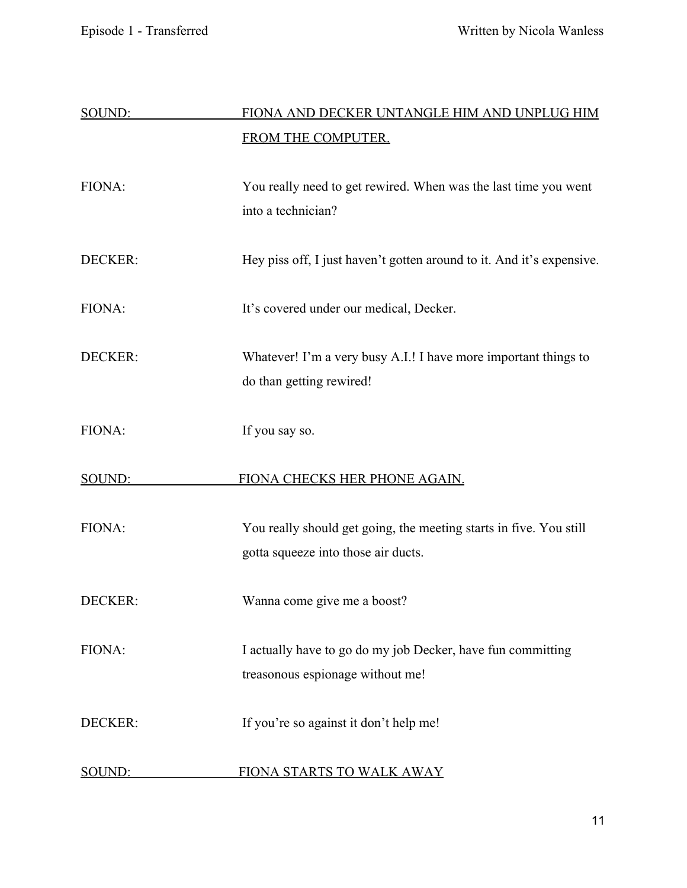| SOUND:         | FIONA AND DECKER UNTANGLE HIM AND UNPLUG HIM                                                              |
|----------------|-----------------------------------------------------------------------------------------------------------|
|                | FROM THE COMPUTER.                                                                                        |
| FIONA:         | You really need to get rewired. When was the last time you went<br>into a technician?                     |
| DECKER:        | Hey piss off, I just haven't gotten around to it. And it's expensive.                                     |
| FIONA:         | It's covered under our medical, Decker.                                                                   |
| DECKER:        | Whatever! I'm a very busy A.I.! I have more important things to<br>do than getting rewired!               |
| FIONA:         | If you say so.                                                                                            |
| SOUND:         | FIONA CHECKS HER PHONE AGAIN.                                                                             |
| FIONA:         | You really should get going, the meeting starts in five. You still<br>gotta squeeze into those air ducts. |
| DECKER:        | Wanna come give me a boost?                                                                               |
| FIONA:         | I actually have to go do my job Decker, have fun committing<br>treasonous espionage without me!           |
| <b>DECKER:</b> | If you're so against it don't help me!                                                                    |
| SOUND:         | FIONA STARTS TO WALK AWAY                                                                                 |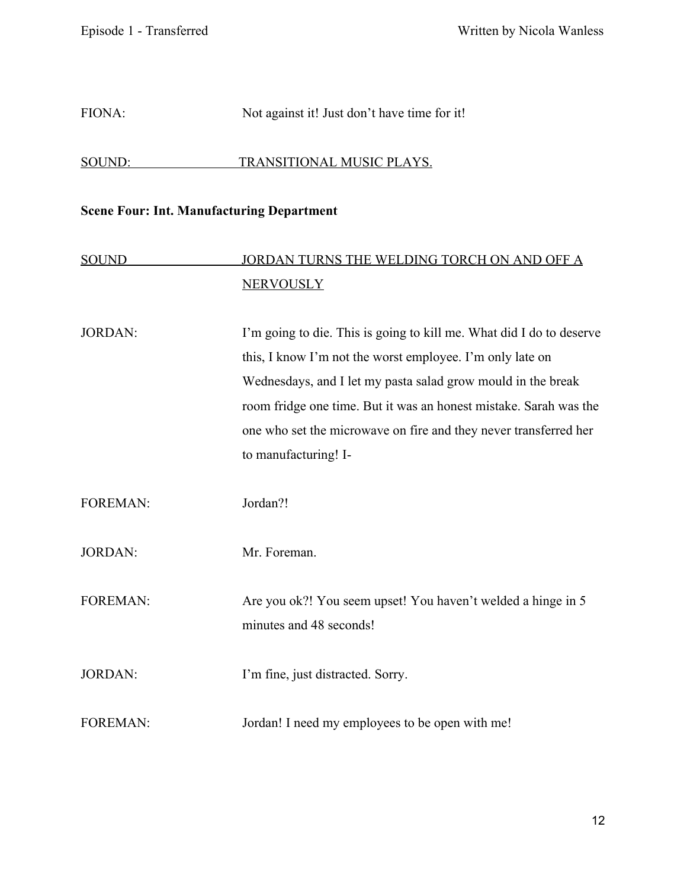### FIONA: Not against it! Just don't have time for it!

#### SOUND: TRANSITIONAL MUSIC PLAYS.

#### **Scene Four: Int. Manufacturing Department**

## SOUND JORDAN TURNS THE WELDING TORCH ON AND OFF A **NERVOUSLY**

JORDAN: I'm going to die. This is going to kill me. What did I do to deserve this, I know I'm not the worst employee. I'm only late on Wednesdays, and I let my pasta salad grow mould in the break room fridge one time. But it was an honest mistake. Sarah was the one who set the microwave on fire and they never transferred her to manufacturing! I-

FOREMAN: Jordan?!

JORDAN: Mr. Foreman.

FOREMAN: Are you ok?! You seem upset! You haven't welded a hinge in 5 minutes and 48 seconds!

JORDAN: I'm fine, just distracted. Sorry.

FOREMAN: Jordan! I need my employees to be open with me!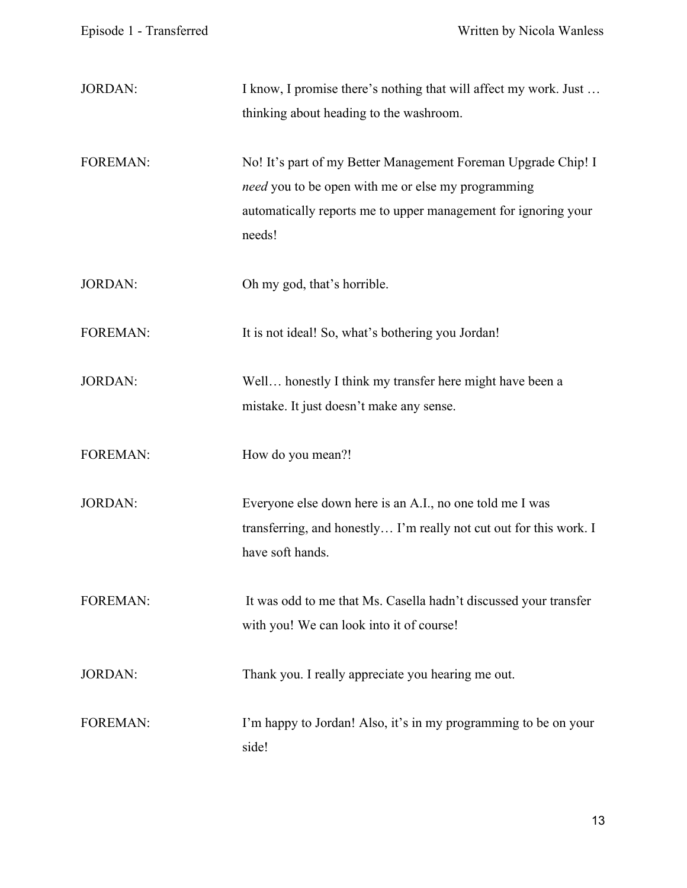| <b>JORDAN:</b>  | I know, I promise there's nothing that will affect my work. Just<br>thinking about heading to the washroom.                                                                                     |
|-----------------|-------------------------------------------------------------------------------------------------------------------------------------------------------------------------------------------------|
| <b>FOREMAN:</b> | No! It's part of my Better Management Foreman Upgrade Chip! I<br>need you to be open with me or else my programming<br>automatically reports me to upper management for ignoring your<br>needs! |
| <b>JORDAN:</b>  | Oh my god, that's horrible.                                                                                                                                                                     |
| <b>FOREMAN:</b> | It is not ideal! So, what's bothering you Jordan!                                                                                                                                               |
| <b>JORDAN:</b>  | Well honestly I think my transfer here might have been a<br>mistake. It just doesn't make any sense.                                                                                            |
| <b>FOREMAN:</b> | How do you mean?!                                                                                                                                                                               |
| <b>JORDAN:</b>  | Everyone else down here is an A.I., no one told me I was<br>transferring, and honestly I'm really not cut out for this work. I<br>have soft hands.                                              |
| <b>FOREMAN:</b> | It was odd to me that Ms. Casella hadn't discussed your transfer<br>with you! We can look into it of course!                                                                                    |
| <b>JORDAN:</b>  | Thank you. I really appreciate you hearing me out.                                                                                                                                              |
| <b>FOREMAN:</b> | I'm happy to Jordan! Also, it's in my programming to be on your<br>side!                                                                                                                        |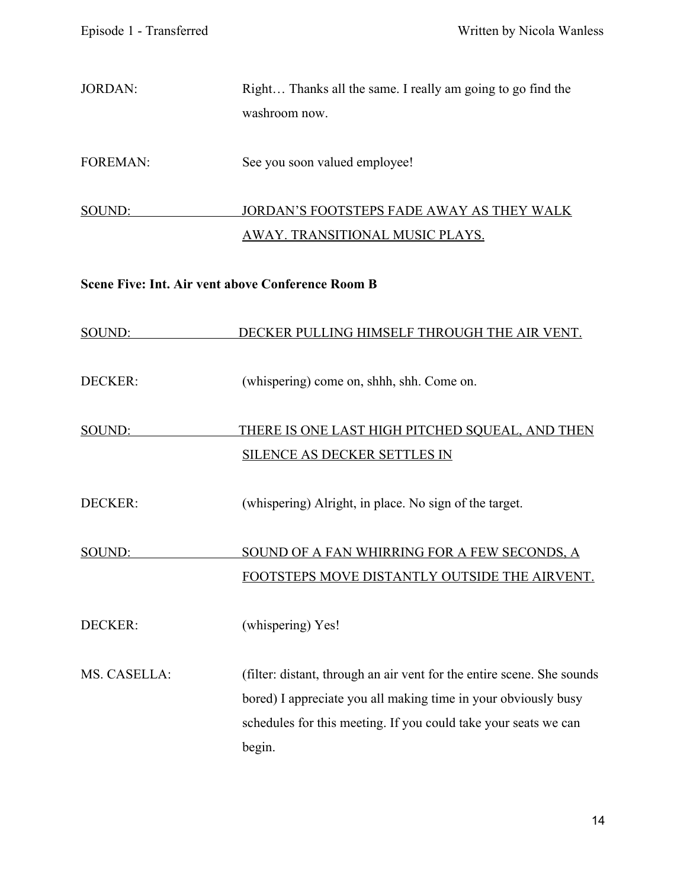JORDAN: Right... Thanks all the same. I really am going to go find the washroom now.

FOREMAN: See you soon valued employee!

## SOUND: JORDAN'S FOOTSTEPS FADE AWAY AS THEY WALK AWAY. TRANSITIONAL MUSIC PLAYS.

## **Scene Five: Int. Air vent above Conference Room B**

| SOUND:         | DECKER PULLING HIMSELF THROUGH THE AIR VENT.                           |
|----------------|------------------------------------------------------------------------|
| <b>DECKER:</b> | (whispering) come on, shhh, shh. Come on.                              |
| SOUND:         | THERE IS ONE LAST HIGH PITCHED SQUEAL, AND THEN                        |
|                | <b>SILENCE AS DECKER SETTLES IN</b>                                    |
| <b>DECKER:</b> | (whispering) Alright, in place. No sign of the target.                 |
| SOUND:         | SOUND OF A FAN WHIRRING FOR A FEW SECONDS, A                           |
|                | FOOTSTEPS MOVE DISTANTLY OUTSIDE THE AIRVENT.                          |
| DECKER:        | (whispering) Yes!                                                      |
| MS. CASELLA:   | (filter: distant, through an air vent for the entire scene. She sounds |
|                | bored) I appreciate you all making time in your obviously busy         |
|                | schedules for this meeting. If you could take your seats we can        |
|                | begin.                                                                 |
|                |                                                                        |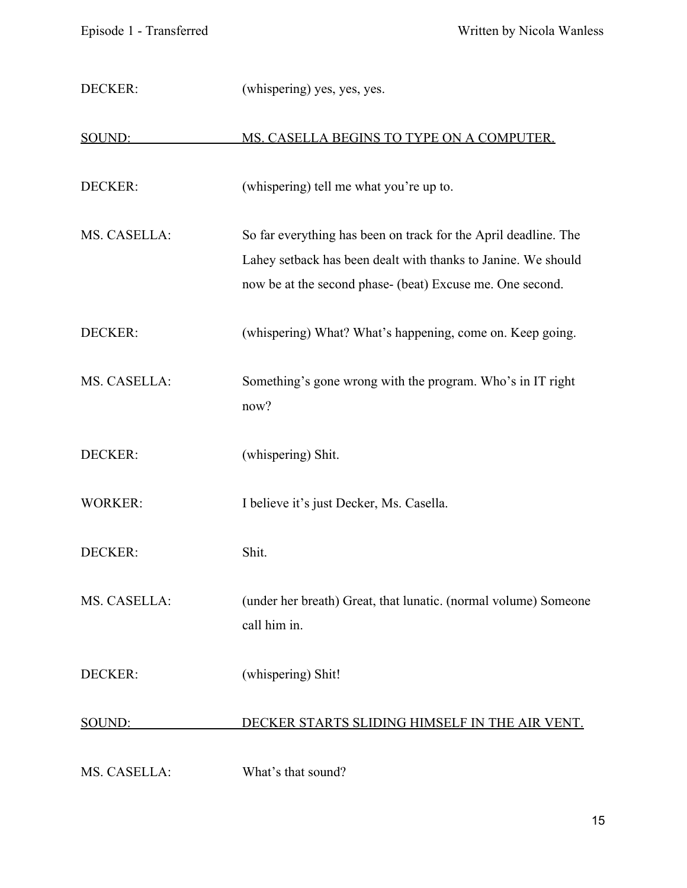| DECKER:        | (whispering) yes, yes, yes.                                                                                                                                                                   |
|----------------|-----------------------------------------------------------------------------------------------------------------------------------------------------------------------------------------------|
| SOUND:         | MS. CASELLA BEGINS TO TYPE ON A COMPUTER.                                                                                                                                                     |
| <b>DECKER:</b> | (whispering) tell me what you're up to.                                                                                                                                                       |
| MS. CASELLA:   | So far everything has been on track for the April deadline. The<br>Lahey setback has been dealt with thanks to Janine. We should<br>now be at the second phase- (beat) Excuse me. One second. |
| DECKER:        | (whispering) What? What's happening, come on. Keep going.                                                                                                                                     |
| MS. CASELLA:   | Something's gone wrong with the program. Who's in IT right<br>now?                                                                                                                            |
| DECKER:        | (whispering) Shit.                                                                                                                                                                            |
| <b>WORKER:</b> | I believe it's just Decker, Ms. Casella.                                                                                                                                                      |
| DECKER:        | Shit.                                                                                                                                                                                         |
| MS. CASELLA:   | (under her breath) Great, that lunatic. (normal volume) Someone<br>call him in.                                                                                                               |
| DECKER:        | (whispering) Shit!                                                                                                                                                                            |
| SOUND:         | DECKER STARTS SLIDING HIMSELF IN THE AIR VENT.                                                                                                                                                |
| MS. CASELLA:   | What's that sound?                                                                                                                                                                            |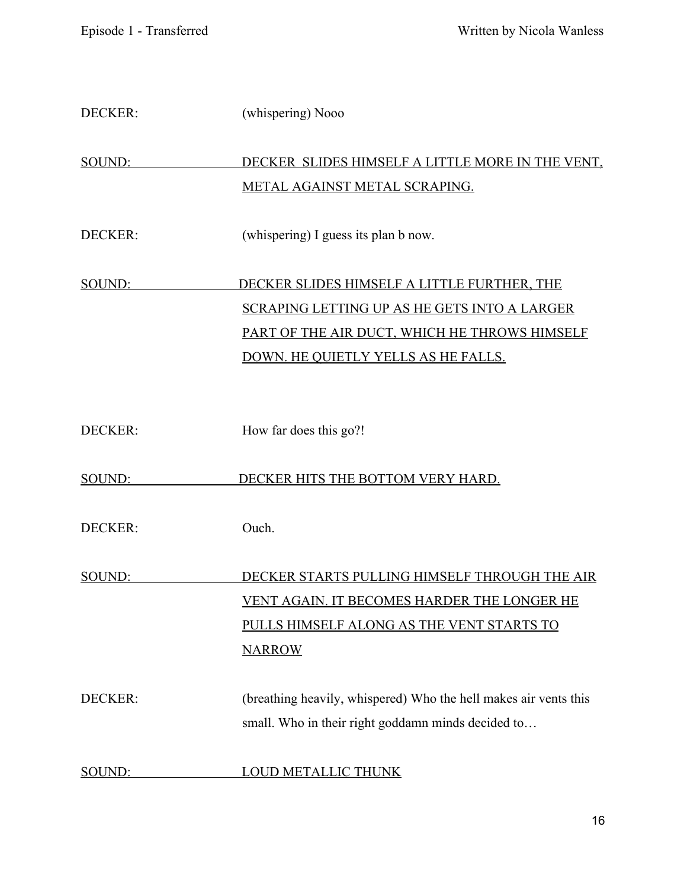| DECKER:        | (whispering) Nooo                                                |
|----------------|------------------------------------------------------------------|
| SOUND:         | DECKER SLIDES HIMSELF A LITTLE MORE IN THE VENT,                 |
|                | <b>METAL AGAINST METAL SCRAPING.</b>                             |
| DECKER:        | (whispering) I guess its plan b now.                             |
| SOUND:         | DECKER SLIDES HIMSELF A LITTLE FURTHER, THE                      |
|                | <b>SCRAPING LETTING UP AS HE GETS INTO A LARGER</b>              |
|                | PART OF THE AIR DUCT, WHICH HE THROWS HIMSELF                    |
|                | DOWN. HE QUIETLY YELLS AS HE FALLS.                              |
| <b>DECKER:</b> | How far does this go?!                                           |
|                |                                                                  |
| SOUND:         | DECKER HITS THE BOTTOM VERY HARD.                                |
| DECKER:        | Ouch.                                                            |
| SOUND:         | DECKER STARTS PULLING HIMSELF THROUGH THE AIR                    |
|                | <u>VENT AGAIN. IT BECOMES HARDER THE LONGER HE</u>               |
|                | PULLS HIMSELF ALONG AS THE VENT STARTS TO                        |
|                | <b>NARROW</b>                                                    |
| DECKER:        | (breathing heavily, whispered) Who the hell makes air vents this |
|                | small. Who in their right goddamn minds decided to               |
| SOUND:         | <b>LOUD METALLIC THUNK</b>                                       |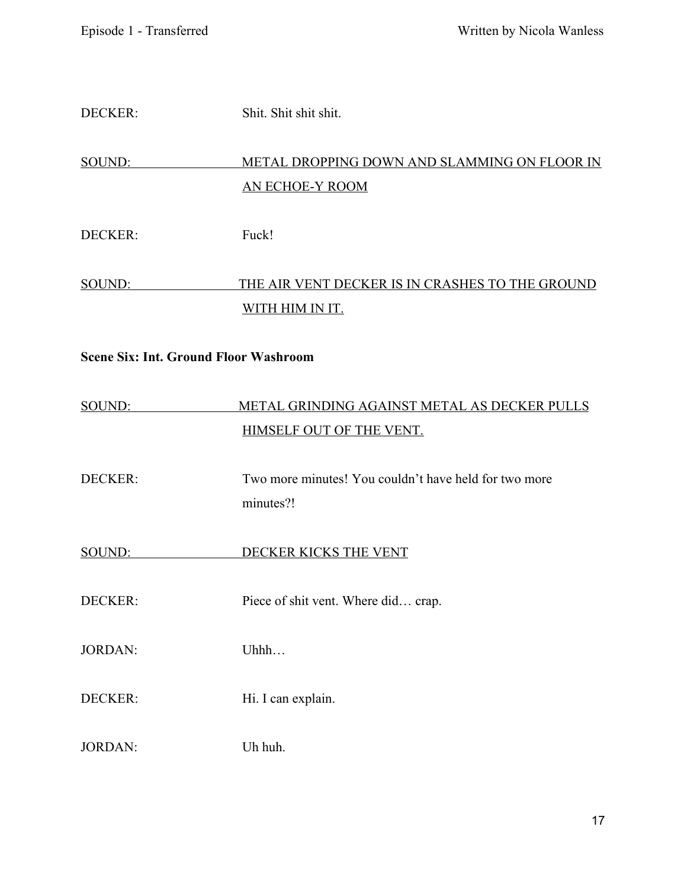| <b>DECKER:</b> | Shit. Shit shit shit.                                                    |
|----------------|--------------------------------------------------------------------------|
| SOUND:         | METAL DROPPING DOWN AND SLAMMING ON FLOOR IN<br><b>AN ECHOE-Y ROOM</b>   |
| <b>DECKER:</b> | Fuck!                                                                    |
| <u>SOUND:</u>  | THE AIR VENT DECKER IS IN CRASHES TO THE GROUND<br>WITH HIM IN IT.       |
|                | <b>Scene Six: Int. Ground Floor Washroom</b>                             |
| <u>SOUND:</u>  | METAL GRINDING AGAINST METAL AS DECKER PULLS<br>HIMSELF OUT OF THE VENT. |
| <b>DECKER:</b> | Two more minutes! You couldn't have held for two more<br>minutes?!       |
| <u>SOUND:</u>  | DECKER KICKS THE VENT                                                    |
| <b>DECKER:</b> | Piece of shit vent. Where did crap.                                      |
| <b>JORDAN:</b> | Uhhh                                                                     |
| <b>DECKER:</b> | Hi. I can explain.                                                       |
| <b>JORDAN:</b> | Uh huh.                                                                  |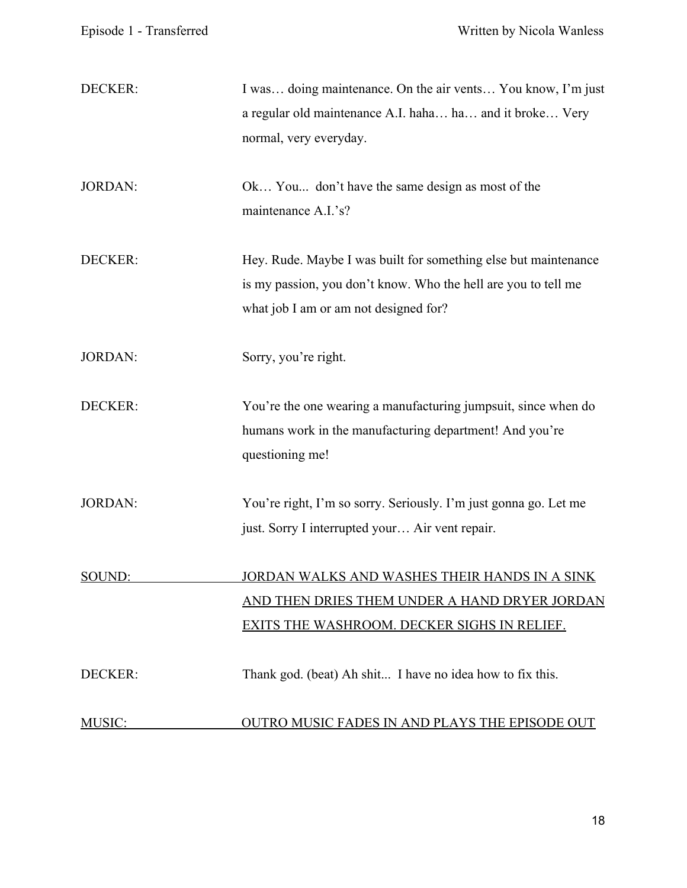| DECKER:        | I was doing maintenance. On the air vents You know, I'm just<br>a regular old maintenance A.I. haha ha and it broke Very<br>normal, very everyday.                         |
|----------------|----------------------------------------------------------------------------------------------------------------------------------------------------------------------------|
| <b>JORDAN:</b> | Ok You don't have the same design as most of the<br>maintenance A.I.'s?                                                                                                    |
| DECKER:        | Hey. Rude. Maybe I was built for something else but maintenance<br>is my passion, you don't know. Who the hell are you to tell me<br>what job I am or am not designed for? |
| <b>JORDAN:</b> | Sorry, you're right.                                                                                                                                                       |
| DECKER:        | You're the one wearing a manufacturing jumpsuit, since when do<br>humans work in the manufacturing department! And you're<br>questioning me!                               |
| <b>JORDAN:</b> | You're right, I'm so sorry. Seriously. I'm just gonna go. Let me<br>just. Sorry I interrupted your Air vent repair.                                                        |
| SOUND:         | <u>JORDAN WALKS AND WASHES THEIR HANDS IN A SINK</u><br>AND THEN DRIES THEM UNDER A HAND DRYER JORDAN<br>EXITS THE WASHROOM. DECKER SIGHS IN RELIEF.                       |
| DECKER:        | Thank god. (beat) Ah shit I have no idea how to fix this.                                                                                                                  |
| MUSIC:         | OUTRO MUSIC FADES IN AND PLAYS THE EPISODE OUT                                                                                                                             |